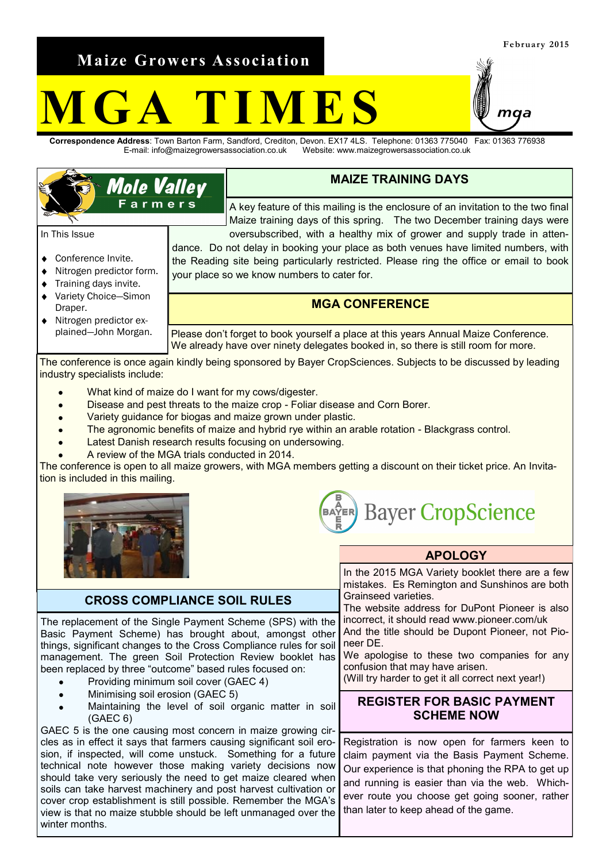**Maize Growers Association**

**Mole Valley** Farmers

# GA TIMES

**Correspondence Address**: Town Barton Farm, Sandford, Crediton, Devon. EX17 4LS. Telephone: 01363 775040 Fax: 01363 776938 E-mail: info@maizegrowersassociation.co.uk Website: www.maizegrowersassociation.co.uk

## **MAIZE TRAINING DAYS**

A key feature of this mailing is the enclosure of an invitation to the two final Maize training days of this spring. The two December training days were oversubscribed, with a healthy mix of grower and supply trade in atten-

dance. Do not delay in booking your place as both venues have limited numbers, with the Reading site being particularly restricted. Please ring the office or email to book your place so we know numbers to cater for.

## **MGA CONFERENCE**

Please don't forget to book yourself a place at this years Annual Maize Conference. We already have over ninety delegates booked in, so there is still room for more.

The conference is once again kindly being sponsored by Bayer CropSciences. Subjects to be discussed by leading industry specialists include:

- What kind of maize do I want for my cows/digester.
- Disease and pest threats to the maize crop Foliar disease and Corn Borer.
- Variety guidance for biogas and maize grown under plastic.
- The agronomic benefits of maize and hybrid rye within an arable rotation Blackgrass control.
- Latest Danish research results focusing on undersowing.
- A review of the MGA trials conducted in 2014.

The conference is open to all maize growers, with MGA members getting a discount on their ticket price. An Invitation is included in this mailing.





Grainseed varieties.

confusion that may have arisen.

neer DE.

#### **APOLOGY** In the 2015 MGA Variety booklet there are a few

mistakes. Es Remington and Sunshinos are both

The website address for DuPont Pioneer is also incorrect, it should read www.pioneer.com/uk And the title should be Dupont Pioneer, not Pio-

We apologise to these two companies for any

(Will try harder to get it all correct next year!)

## **CROSS COMPLIANCE SOIL RULES**

The replacement of the Single Payment Scheme (SPS) with the Basic Payment Scheme) has brought about, amongst other things, significant changes to the Cross Compliance rules for soil management. The green Soil Protection Review booklet has been replaced by three "outcome" based rules focused on:

- Providing minimum soil cover (GAEC 4)
- Minimising soil erosion (GAEC 5)
- Maintaining the level of soil organic matter in soil (GAEC 6)

GAEC 5 is the one causing most concern in maize growing circles as in effect it says that farmers causing significant soil erosion, if inspected, will come unstuck. Something for a future technical note however those making variety decisions now should take very seriously the need to get maize cleared when soils can take harvest machinery and post harvest cultivation or cover crop establishment is still possible. Remember the MGA's view is that no maize stubble should be left unmanaged over the winter months.

## **REGISTER FOR BASIC PAYMENT SCHEME NOW**

Registration is now open for farmers keen to claim payment via the Basis Payment Scheme. Our experience is that phoning the RPA to get up and running is easier than via the web. Whichever route you choose get going sooner, rather than later to keep ahead of the game.

### In This Issue ◆ Conference Invite. Nitrogen predictor form. Training days invite.

- Variety Choice—Simon Draper.
- Nitrogen predictor ex- $\bullet$ plained—John Morgan.

ทผล